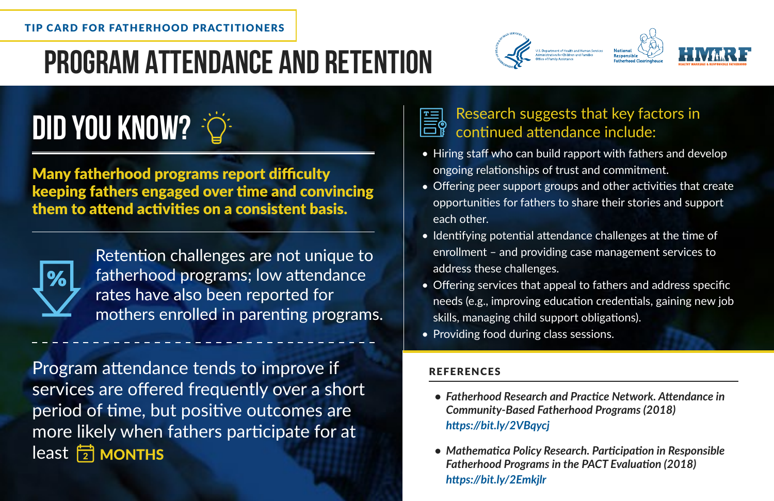## **Program Attendance and Retention**



# **DID YOU KNOW?**

Many fatherhood programs report difficulty keeping fathers engaged over time and convincing them to attend activities on a consistent basis.



Retention challenges are not unique to fatherhood programs; low attendance rates have also been reported for mothers enrolled in parenting programs.

Program attendance tends to improve if services are offered frequently over a short period of time, but positive outcomes are more likely when fathers participate for at  $\log \frac{1}{2}$  MONTHS

## Research suggests that key factors in continued attendance include:

- Hiring staff who can build rapport with fathers and develop ongoing relationships of trust and commitment.
- Offering peer support groups and other activities that create opportunities for fathers to share their stories and support each other.
- Identifying potential attendance challenges at the time of enrollment – and providing case management services to address these challenges.
- Offering services that appeal to fathers and address specific needs (e.g., improving education credentials, gaining new job skills, managing child support obligations).
- Providing food during class sessions.

#### REFERENCES

- *Fatherhood Research and Practice Network. Attendance in Community-Based Fatherhood Programs (2018) <https://bit.ly/2VBqycj>*
- *Mathematica Policy Research. Participation in Responsible Fatherhood Programs in the PACT Evaluation (2018) <https://bit.ly/2Emkjlr>*